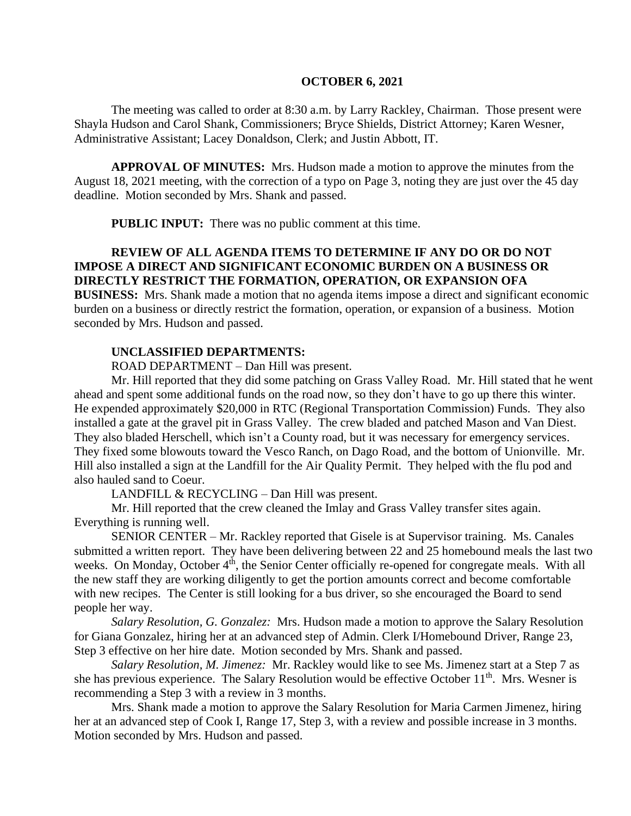#### **OCTOBER 6, 2021**

The meeting was called to order at 8:30 a.m. by Larry Rackley, Chairman. Those present were Shayla Hudson and Carol Shank, Commissioners; Bryce Shields, District Attorney; Karen Wesner, Administrative Assistant; Lacey Donaldson, Clerk; and Justin Abbott, IT.

**APPROVAL OF MINUTES:** Mrs. Hudson made a motion to approve the minutes from the August 18, 2021 meeting, with the correction of a typo on Page 3, noting they are just over the 45 day deadline. Motion seconded by Mrs. Shank and passed.

**PUBLIC INPUT:** There was no public comment at this time.

# **REVIEW OF ALL AGENDA ITEMS TO DETERMINE IF ANY DO OR DO NOT IMPOSE A DIRECT AND SIGNIFICANT ECONOMIC BURDEN ON A BUSINESS OR DIRECTLY RESTRICT THE FORMATION, OPERATION, OR EXPANSION OFA**

**BUSINESS:** Mrs. Shank made a motion that no agenda items impose a direct and significant economic burden on a business or directly restrict the formation, operation, or expansion of a business. Motion seconded by Mrs. Hudson and passed.

#### **UNCLASSIFIED DEPARTMENTS:**

ROAD DEPARTMENT – Dan Hill was present.

Mr. Hill reported that they did some patching on Grass Valley Road. Mr. Hill stated that he went ahead and spent some additional funds on the road now, so they don't have to go up there this winter. He expended approximately \$20,000 in RTC (Regional Transportation Commission) Funds. They also installed a gate at the gravel pit in Grass Valley. The crew bladed and patched Mason and Van Diest. They also bladed Herschell, which isn't a County road, but it was necessary for emergency services. They fixed some blowouts toward the Vesco Ranch, on Dago Road, and the bottom of Unionville. Mr. Hill also installed a sign at the Landfill for the Air Quality Permit. They helped with the flu pod and also hauled sand to Coeur.

LANDFILL & RECYCLING – Dan Hill was present.

Mr. Hill reported that the crew cleaned the Imlay and Grass Valley transfer sites again. Everything is running well.

SENIOR CENTER – Mr. Rackley reported that Gisele is at Supervisor training. Ms. Canales submitted a written report. They have been delivering between 22 and 25 homebound meals the last two weeks. On Monday, October 4<sup>th</sup>, the Senior Center officially re-opened for congregate meals. With all the new staff they are working diligently to get the portion amounts correct and become comfortable with new recipes. The Center is still looking for a bus driver, so she encouraged the Board to send people her way.

*Salary Resolution, G. Gonzalez:* Mrs. Hudson made a motion to approve the Salary Resolution for Giana Gonzalez, hiring her at an advanced step of Admin. Clerk I/Homebound Driver, Range 23, Step 3 effective on her hire date. Motion seconded by Mrs. Shank and passed.

*Salary Resolution, M. Jimenez:* Mr. Rackley would like to see Ms. Jimenez start at a Step 7 as she has previous experience. The Salary Resolution would be effective October  $11<sup>th</sup>$ . Mrs. Wesner is recommending a Step 3 with a review in 3 months.

Mrs. Shank made a motion to approve the Salary Resolution for Maria Carmen Jimenez, hiring her at an advanced step of Cook I, Range 17, Step 3, with a review and possible increase in 3 months. Motion seconded by Mrs. Hudson and passed.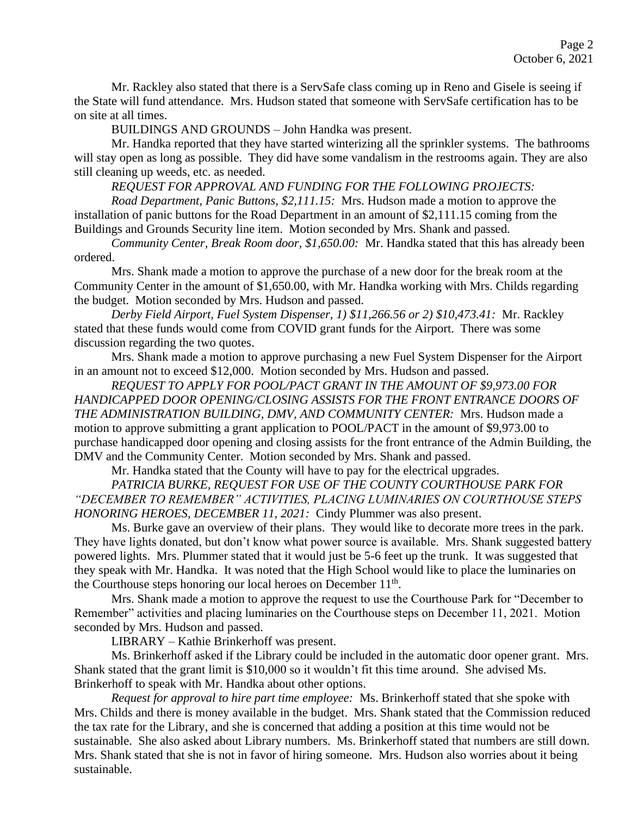Mr. Rackley also stated that there is a ServSafe class coming up in Reno and Gisele is seeing if the State will fund attendance. Mrs. Hudson stated that someone with ServSafe certification has to be on site at all times.

BUILDINGS AND GROUNDS – John Handka was present.

Mr. Handka reported that they have started winterizing all the sprinkler systems. The bathrooms will stay open as long as possible. They did have some vandalism in the restrooms again. They are also still cleaning up weeds, etc. as needed.

#### *REQUEST FOR APPROVAL AND FUNDING FOR THE FOLLOWING PROJECTS:*

*Road Department, Panic Buttons, \$2,111.15:* Mrs. Hudson made a motion to approve the installation of panic buttons for the Road Department in an amount of \$2,111.15 coming from the Buildings and Grounds Security line item. Motion seconded by Mrs. Shank and passed.

*Community Center, Break Room door, \$1,650.00:* Mr. Handka stated that this has already been ordered.

Mrs. Shank made a motion to approve the purchase of a new door for the break room at the Community Center in the amount of \$1,650.00, with Mr. Handka working with Mrs. Childs regarding the budget. Motion seconded by Mrs. Hudson and passed.

*Derby Field Airport, Fuel System Dispenser, 1) \$11,266.56 or 2) \$10,473.41:* Mr. Rackley stated that these funds would come from COVID grant funds for the Airport. There was some discussion regarding the two quotes.

Mrs. Shank made a motion to approve purchasing a new Fuel System Dispenser for the Airport in an amount not to exceed \$12,000. Motion seconded by Mrs. Hudson and passed.

*REQUEST TO APPLY FOR POOL/PACT GRANT IN THE AMOUNT OF \$9,973.00 FOR HANDICAPPED DOOR OPENING/CLOSING ASSISTS FOR THE FRONT ENTRANCE DOORS OF THE ADMINISTRATION BUILDING, DMV, AND COMMUNITY CENTER:* Mrs. Hudson made a motion to approve submitting a grant application to POOL/PACT in the amount of \$9,973.00 to purchase handicapped door opening and closing assists for the front entrance of the Admin Building, the DMV and the Community Center. Motion seconded by Mrs. Shank and passed.

Mr. Handka stated that the County will have to pay for the electrical upgrades.

*PATRICIA BURKE, REQUEST FOR USE OF THE COUNTY COURTHOUSE PARK FOR "DECEMBER TO REMEMBER" ACTIVITIES, PLACING LUMINARIES ON COURTHOUSE STEPS HONORING HEROES, DECEMBER 11, 2021:* Cindy Plummer was also present.

Ms. Burke gave an overview of their plans. They would like to decorate more trees in the park. They have lights donated, but don't know what power source is available. Mrs. Shank suggested battery powered lights. Mrs. Plummer stated that it would just be 5-6 feet up the trunk. It was suggested that they speak with Mr. Handka. It was noted that the High School would like to place the luminaries on the Courthouse steps honoring our local heroes on December 11<sup>th</sup>.

Mrs. Shank made a motion to approve the request to use the Courthouse Park for "December to Remember" activities and placing luminaries on the Courthouse steps on December 11, 2021. Motion seconded by Mrs. Hudson and passed.

LIBRARY – Kathie Brinkerhoff was present.

Ms. Brinkerhoff asked if the Library could be included in the automatic door opener grant. Mrs. Shank stated that the grant limit is \$10,000 so it wouldn't fit this time around. She advised Ms. Brinkerhoff to speak with Mr. Handka about other options.

*Request for approval to hire part time employee:* Ms. Brinkerhoff stated that she spoke with Mrs. Childs and there is money available in the budget. Mrs. Shank stated that the Commission reduced the tax rate for the Library, and she is concerned that adding a position at this time would not be sustainable. She also asked about Library numbers. Ms. Brinkerhoff stated that numbers are still down. Mrs. Shank stated that she is not in favor of hiring someone. Mrs. Hudson also worries about it being sustainable.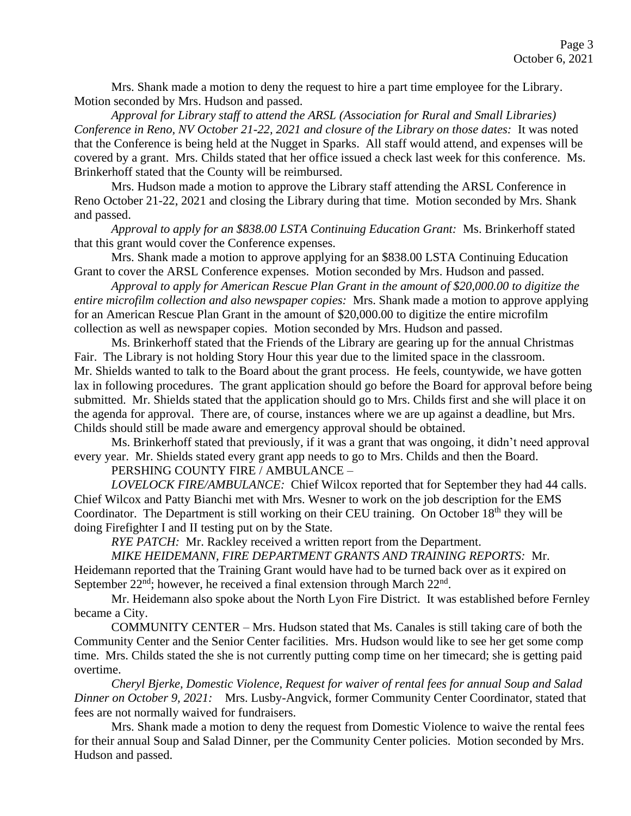Mrs. Shank made a motion to deny the request to hire a part time employee for the Library. Motion seconded by Mrs. Hudson and passed.

*Approval for Library staff to attend the ARSL (Association for Rural and Small Libraries) Conference in Reno, NV October 21-22, 2021 and closure of the Library on those dates:* It was noted that the Conference is being held at the Nugget in Sparks. All staff would attend, and expenses will be covered by a grant. Mrs. Childs stated that her office issued a check last week for this conference. Ms. Brinkerhoff stated that the County will be reimbursed.

Mrs. Hudson made a motion to approve the Library staff attending the ARSL Conference in Reno October 21-22, 2021 and closing the Library during that time. Motion seconded by Mrs. Shank and passed.

*Approval to apply for an \$838.00 LSTA Continuing Education Grant:* Ms. Brinkerhoff stated that this grant would cover the Conference expenses.

Mrs. Shank made a motion to approve applying for an \$838.00 LSTA Continuing Education Grant to cover the ARSL Conference expenses. Motion seconded by Mrs. Hudson and passed.

*Approval to apply for American Rescue Plan Grant in the amount of \$20,000.00 to digitize the entire microfilm collection and also newspaper copies:* Mrs. Shank made a motion to approve applying for an American Rescue Plan Grant in the amount of \$20,000.00 to digitize the entire microfilm collection as well as newspaper copies. Motion seconded by Mrs. Hudson and passed.

Ms. Brinkerhoff stated that the Friends of the Library are gearing up for the annual Christmas Fair. The Library is not holding Story Hour this year due to the limited space in the classroom. Mr. Shields wanted to talk to the Board about the grant process. He feels, countywide, we have gotten lax in following procedures. The grant application should go before the Board for approval before being submitted. Mr. Shields stated that the application should go to Mrs. Childs first and she will place it on the agenda for approval. There are, of course, instances where we are up against a deadline, but Mrs. Childs should still be made aware and emergency approval should be obtained.

Ms. Brinkerhoff stated that previously, if it was a grant that was ongoing, it didn't need approval every year. Mr. Shields stated every grant app needs to go to Mrs. Childs and then the Board.

PERSHING COUNTY FIRE / AMBULANCE –

*LOVELOCK FIRE/AMBULANCE:* Chief Wilcox reported that for September they had 44 calls. Chief Wilcox and Patty Bianchi met with Mrs. Wesner to work on the job description for the EMS Coordinator. The Department is still working on their CEU training. On October 18<sup>th</sup> they will be doing Firefighter I and II testing put on by the State.

*RYE PATCH:* Mr. Rackley received a written report from the Department.

*MIKE HEIDEMANN, FIRE DEPARTMENT GRANTS AND TRAINING REPORTS:* Mr. Heidemann reported that the Training Grant would have had to be turned back over as it expired on September  $22^{\text{nd}}$ ; however, he received a final extension through March  $22^{\text{nd}}$ .

Mr. Heidemann also spoke about the North Lyon Fire District. It was established before Fernley became a City.

COMMUNITY CENTER – Mrs. Hudson stated that Ms. Canales is still taking care of both the Community Center and the Senior Center facilities. Mrs. Hudson would like to see her get some comp time. Mrs. Childs stated the she is not currently putting comp time on her timecard; she is getting paid overtime.

*Cheryl Bjerke, Domestic Violence, Request for waiver of rental fees for annual Soup and Salad Dinner on October 9, 2021:* Mrs. Lusby-Angvick, former Community Center Coordinator, stated that fees are not normally waived for fundraisers.

Mrs. Shank made a motion to deny the request from Domestic Violence to waive the rental fees for their annual Soup and Salad Dinner, per the Community Center policies. Motion seconded by Mrs. Hudson and passed.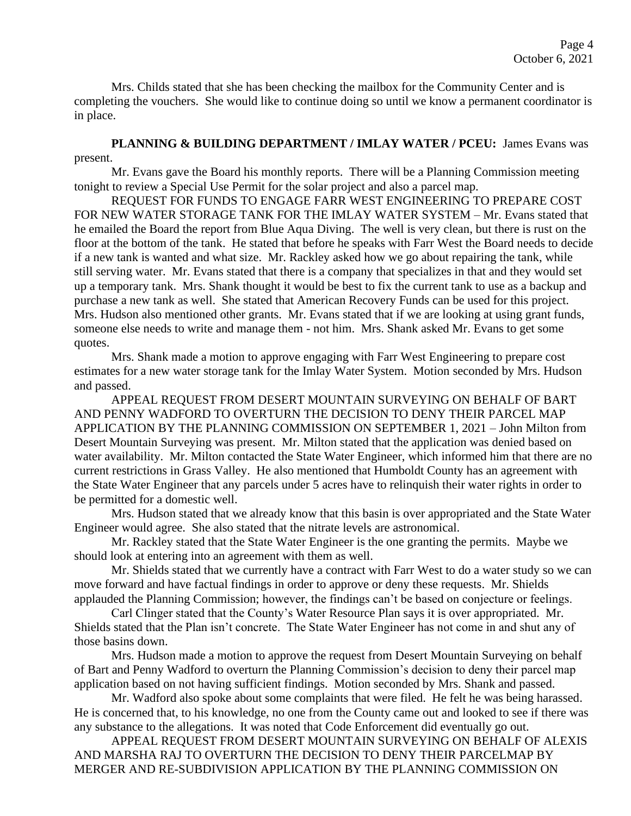Mrs. Childs stated that she has been checking the mailbox for the Community Center and is completing the vouchers. She would like to continue doing so until we know a permanent coordinator is in place.

**PLANNING & BUILDING DEPARTMENT / IMLAY WATER / PCEU:** James Evans was present.

Mr. Evans gave the Board his monthly reports. There will be a Planning Commission meeting tonight to review a Special Use Permit for the solar project and also a parcel map.

REQUEST FOR FUNDS TO ENGAGE FARR WEST ENGINEERING TO PREPARE COST FOR NEW WATER STORAGE TANK FOR THE IMLAY WATER SYSTEM – Mr. Evans stated that he emailed the Board the report from Blue Aqua Diving. The well is very clean, but there is rust on the floor at the bottom of the tank. He stated that before he speaks with Farr West the Board needs to decide if a new tank is wanted and what size. Mr. Rackley asked how we go about repairing the tank, while still serving water. Mr. Evans stated that there is a company that specializes in that and they would set up a temporary tank. Mrs. Shank thought it would be best to fix the current tank to use as a backup and purchase a new tank as well. She stated that American Recovery Funds can be used for this project. Mrs. Hudson also mentioned other grants. Mr. Evans stated that if we are looking at using grant funds, someone else needs to write and manage them - not him. Mrs. Shank asked Mr. Evans to get some quotes.

Mrs. Shank made a motion to approve engaging with Farr West Engineering to prepare cost estimates for a new water storage tank for the Imlay Water System. Motion seconded by Mrs. Hudson and passed.

APPEAL REQUEST FROM DESERT MOUNTAIN SURVEYING ON BEHALF OF BART AND PENNY WADFORD TO OVERTURN THE DECISION TO DENY THEIR PARCEL MAP APPLICATION BY THE PLANNING COMMISSION ON SEPTEMBER 1, 2021 – John Milton from Desert Mountain Surveying was present. Mr. Milton stated that the application was denied based on water availability. Mr. Milton contacted the State Water Engineer, which informed him that there are no current restrictions in Grass Valley. He also mentioned that Humboldt County has an agreement with the State Water Engineer that any parcels under 5 acres have to relinquish their water rights in order to be permitted for a domestic well.

Mrs. Hudson stated that we already know that this basin is over appropriated and the State Water Engineer would agree. She also stated that the nitrate levels are astronomical.

Mr. Rackley stated that the State Water Engineer is the one granting the permits. Maybe we should look at entering into an agreement with them as well.

Mr. Shields stated that we currently have a contract with Farr West to do a water study so we can move forward and have factual findings in order to approve or deny these requests. Mr. Shields applauded the Planning Commission; however, the findings can't be based on conjecture or feelings.

Carl Clinger stated that the County's Water Resource Plan says it is over appropriated. Mr. Shields stated that the Plan isn't concrete. The State Water Engineer has not come in and shut any of those basins down.

Mrs. Hudson made a motion to approve the request from Desert Mountain Surveying on behalf of Bart and Penny Wadford to overturn the Planning Commission's decision to deny their parcel map application based on not having sufficient findings. Motion seconded by Mrs. Shank and passed.

Mr. Wadford also spoke about some complaints that were filed. He felt he was being harassed. He is concerned that, to his knowledge, no one from the County came out and looked to see if there was any substance to the allegations. It was noted that Code Enforcement did eventually go out.

APPEAL REQUEST FROM DESERT MOUNTAIN SURVEYING ON BEHALF OF ALEXIS AND MARSHA RAJ TO OVERTURN THE DECISION TO DENY THEIR PARCELMAP BY MERGER AND RE-SUBDIVISION APPLICATION BY THE PLANNING COMMISSION ON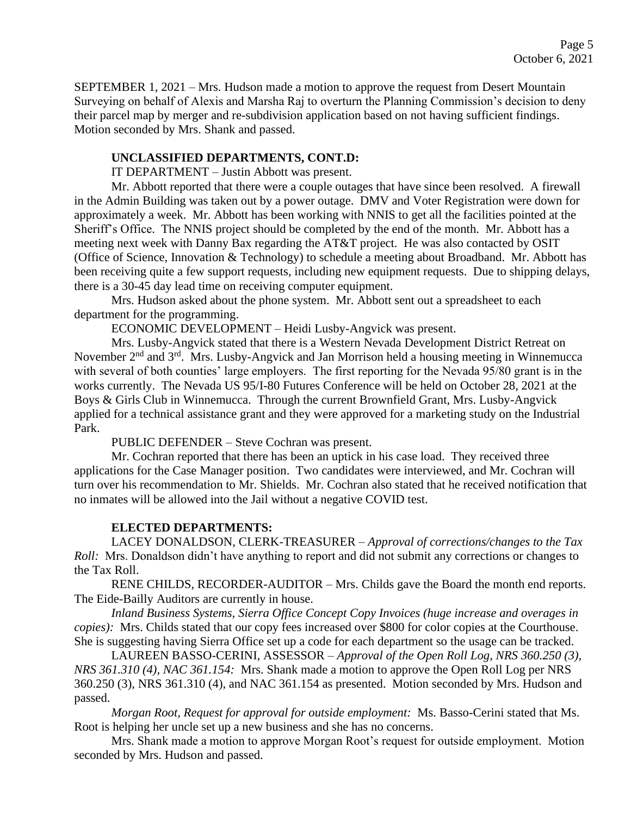SEPTEMBER 1, 2021 – Mrs. Hudson made a motion to approve the request from Desert Mountain Surveying on behalf of Alexis and Marsha Raj to overturn the Planning Commission's decision to deny their parcel map by merger and re-subdivision application based on not having sufficient findings. Motion seconded by Mrs. Shank and passed.

#### **UNCLASSIFIED DEPARTMENTS, CONT.D:**

IT DEPARTMENT – Justin Abbott was present.

Mr. Abbott reported that there were a couple outages that have since been resolved. A firewall in the Admin Building was taken out by a power outage. DMV and Voter Registration were down for approximately a week. Mr. Abbott has been working with NNIS to get all the facilities pointed at the Sheriff's Office. The NNIS project should be completed by the end of the month. Mr. Abbott has a meeting next week with Danny Bax regarding the AT&T project. He was also contacted by OSIT (Office of Science, Innovation & Technology) to schedule a meeting about Broadband. Mr. Abbott has been receiving quite a few support requests, including new equipment requests. Due to shipping delays, there is a 30-45 day lead time on receiving computer equipment.

Mrs. Hudson asked about the phone system. Mr. Abbott sent out a spreadsheet to each department for the programming.

ECONOMIC DEVELOPMENT – Heidi Lusby-Angvick was present.

Mrs. Lusby-Angvick stated that there is a Western Nevada Development District Retreat on November  $2<sup>nd</sup>$  and  $3<sup>rd</sup>$ . Mrs. Lusby-Angvick and Jan Morrison held a housing meeting in Winnemucca with several of both counties' large employers. The first reporting for the Nevada 95/80 grant is in the works currently. The Nevada US 95/I-80 Futures Conference will be held on October 28, 2021 at the Boys & Girls Club in Winnemucca. Through the current Brownfield Grant, Mrs. Lusby-Angvick applied for a technical assistance grant and they were approved for a marketing study on the Industrial Park.

PUBLIC DEFENDER – Steve Cochran was present.

Mr. Cochran reported that there has been an uptick in his case load. They received three applications for the Case Manager position. Two candidates were interviewed, and Mr. Cochran will turn over his recommendation to Mr. Shields. Mr. Cochran also stated that he received notification that no inmates will be allowed into the Jail without a negative COVID test.

### **ELECTED DEPARTMENTS:**

LACEY DONALDSON, CLERK-TREASURER – *Approval of corrections/changes to the Tax Roll:* Mrs. Donaldson didn't have anything to report and did not submit any corrections or changes to the Tax Roll.

RENE CHILDS, RECORDER-AUDITOR – Mrs. Childs gave the Board the month end reports. The Eide-Bailly Auditors are currently in house.

*Inland Business Systems, Sierra Office Concept Copy Invoices (huge increase and overages in copies):* Mrs. Childs stated that our copy fees increased over \$800 for color copies at the Courthouse. She is suggesting having Sierra Office set up a code for each department so the usage can be tracked.

LAUREEN BASSO-CERINI, ASSESSOR – *Approval of the Open Roll Log, NRS 360.250 (3), NRS 361.310 (4), NAC 361.154:* Mrs. Shank made a motion to approve the Open Roll Log per NRS 360.250 (3), NRS 361.310 (4), and NAC 361.154 as presented. Motion seconded by Mrs. Hudson and passed.

*Morgan Root, Request for approval for outside employment:* Ms. Basso-Cerini stated that Ms. Root is helping her uncle set up a new business and she has no concerns.

Mrs. Shank made a motion to approve Morgan Root's request for outside employment. Motion seconded by Mrs. Hudson and passed.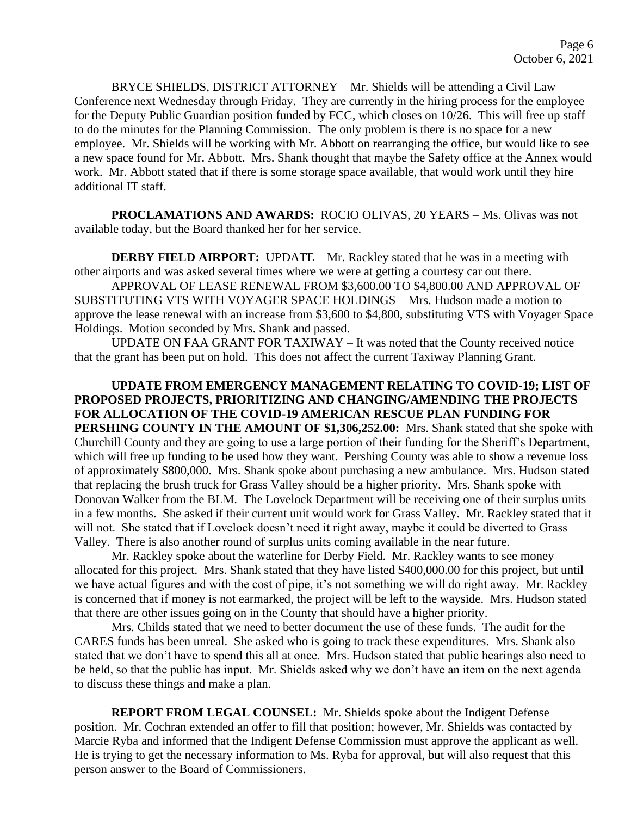BRYCE SHIELDS, DISTRICT ATTORNEY – Mr. Shields will be attending a Civil Law Conference next Wednesday through Friday. They are currently in the hiring process for the employee for the Deputy Public Guardian position funded by FCC, which closes on 10/26. This will free up staff to do the minutes for the Planning Commission. The only problem is there is no space for a new employee. Mr. Shields will be working with Mr. Abbott on rearranging the office, but would like to see a new space found for Mr. Abbott. Mrs. Shank thought that maybe the Safety office at the Annex would work. Mr. Abbott stated that if there is some storage space available, that would work until they hire additional IT staff.

**PROCLAMATIONS AND AWARDS:** ROCIO OLIVAS, 20 YEARS – Ms. Olivas was not available today, but the Board thanked her for her service.

**DERBY FIELD AIRPORT:** UPDATE – Mr. Rackley stated that he was in a meeting with other airports and was asked several times where we were at getting a courtesy car out there.

APPROVAL OF LEASE RENEWAL FROM \$3,600.00 TO \$4,800.00 AND APPROVAL OF SUBSTITUTING VTS WITH VOYAGER SPACE HOLDINGS – Mrs. Hudson made a motion to approve the lease renewal with an increase from \$3,600 to \$4,800, substituting VTS with Voyager Space Holdings. Motion seconded by Mrs. Shank and passed.

UPDATE ON FAA GRANT FOR TAXIWAY – It was noted that the County received notice that the grant has been put on hold. This does not affect the current Taxiway Planning Grant.

**UPDATE FROM EMERGENCY MANAGEMENT RELATING TO COVID-19; LIST OF PROPOSED PROJECTS, PRIORITIZING AND CHANGING/AMENDING THE PROJECTS FOR ALLOCATION OF THE COVID-19 AMERICAN RESCUE PLAN FUNDING FOR PERSHING COUNTY IN THE AMOUNT OF \$1,306,252.00:** Mrs. Shank stated that she spoke with Churchill County and they are going to use a large portion of their funding for the Sheriff's Department, which will free up funding to be used how they want. Pershing County was able to show a revenue loss of approximately \$800,000. Mrs. Shank spoke about purchasing a new ambulance. Mrs. Hudson stated that replacing the brush truck for Grass Valley should be a higher priority. Mrs. Shank spoke with Donovan Walker from the BLM. The Lovelock Department will be receiving one of their surplus units in a few months. She asked if their current unit would work for Grass Valley. Mr. Rackley stated that it will not. She stated that if Lovelock doesn't need it right away, maybe it could be diverted to Grass Valley. There is also another round of surplus units coming available in the near future.

Mr. Rackley spoke about the waterline for Derby Field. Mr. Rackley wants to see money allocated for this project. Mrs. Shank stated that they have listed \$400,000.00 for this project, but until we have actual figures and with the cost of pipe, it's not something we will do right away. Mr. Rackley is concerned that if money is not earmarked, the project will be left to the wayside. Mrs. Hudson stated that there are other issues going on in the County that should have a higher priority.

Mrs. Childs stated that we need to better document the use of these funds. The audit for the CARES funds has been unreal. She asked who is going to track these expenditures. Mrs. Shank also stated that we don't have to spend this all at once. Mrs. Hudson stated that public hearings also need to be held, so that the public has input. Mr. Shields asked why we don't have an item on the next agenda to discuss these things and make a plan.

**REPORT FROM LEGAL COUNSEL:** Mr. Shields spoke about the Indigent Defense position. Mr. Cochran extended an offer to fill that position; however, Mr. Shields was contacted by Marcie Ryba and informed that the Indigent Defense Commission must approve the applicant as well. He is trying to get the necessary information to Ms. Ryba for approval, but will also request that this person answer to the Board of Commissioners.